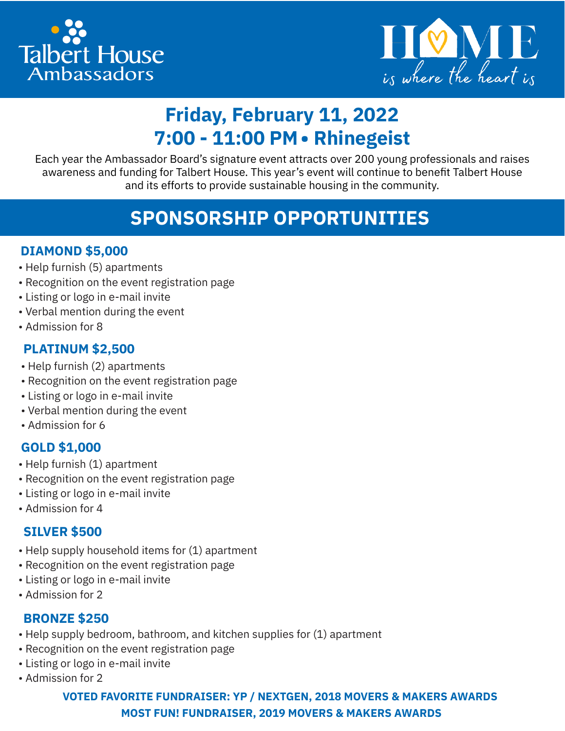



# **Friday, February 11, 2022 7:00 - 11:00 PM• Rhinegeist**

Each year the Ambassador Board's signature event attracts over 200 young professionals and raises awareness and funding for Talbert House. This year's event will continue to benefit Talbert House and its efforts to provide sustainable housing in the community.

# **SPONSORSHIP OPPORTUNITIES**

#### **DIAMOND \$5,000**

- Help furnish (5) apartments
- Recognition on the event registration page
- Listing or logo in e-mail invite
- Verbal mention during the event
- Admission for 8

#### **PLATINUM \$2,500**

- Help furnish (2) apartments
- Recognition on the event registration page
- Listing or logo in e-mail invite
- Verbal mention during the event
- Admission for 6

### **GOLD \$1,000**

- Help furnish (1) apartment
- Recognition on the event registration page
- Listing or logo in e-mail invite
- Admission for 4

#### **SILVER \$500**

- Help supply household items for (1) apartment
- Recognition on the event registration page
- Listing or logo in e-mail invite
- Admission for 2

#### **BRONZE \$250**

- Help supply bedroom, bathroom, and kitchen supplies for (1) apartment
- Recognition on the event registration page
- Listing or logo in e-mail invite
- Admission for 2

#### **VOTED FAVORITE FUNDRAISER: YP / NEXTGEN, 2018 MOVERS & MAKERS AWARDS MOST FUN! FUNDRAISER, 2019 MOVERS & MAKERS AWARDS**